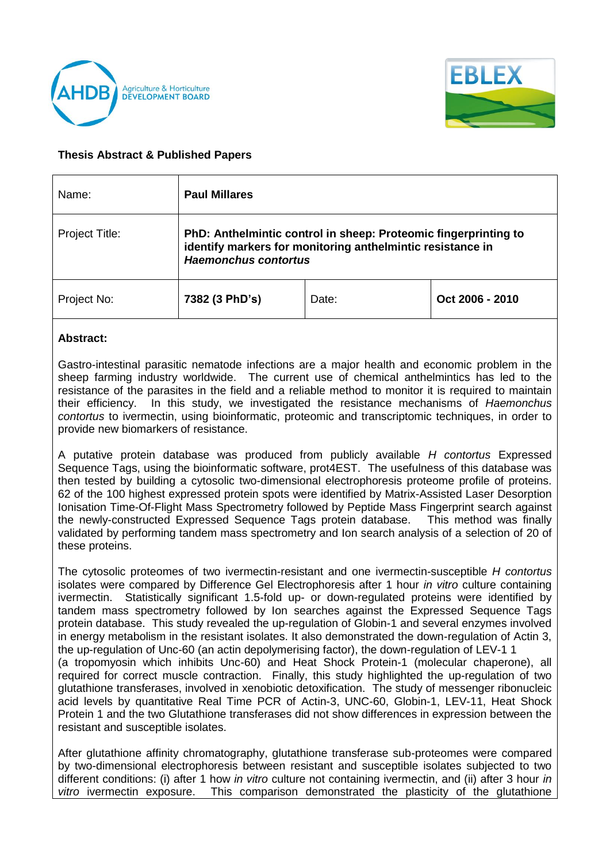



## **Thesis Abstract & Published Papers**

| Name:          | <b>Paul Millares</b>                                                                                                                                         |       |                 |
|----------------|--------------------------------------------------------------------------------------------------------------------------------------------------------------|-------|-----------------|
| Project Title: | PhD: Anthelmintic control in sheep: Proteomic fingerprinting to<br>identify markers for monitoring anthelmintic resistance in<br><b>Haemonchus contortus</b> |       |                 |
| Project No:    | 7382 (3 PhD's)                                                                                                                                               | Date: | Oct 2006 - 2010 |

## **Abstract:**

Gastro-intestinal parasitic nematode infections are a major health and economic problem in the sheep farming industry worldwide. The current use of chemical anthelmintics has led to the resistance of the parasites in the field and a reliable method to monitor it is required to maintain their efficiency. In this study, we investigated the resistance mechanisms of *Haemonchus contortus* to ivermectin, using bioinformatic, proteomic and transcriptomic techniques, in order to provide new biomarkers of resistance.

A putative protein database was produced from publicly available *H contortus* Expressed Sequence Tags, using the bioinformatic software, prot4EST. The usefulness of this database was then tested by building a cytosolic two-dimensional electrophoresis proteome profile of proteins. 62 of the 100 highest expressed protein spots were identified by Matrix-Assisted Laser Desorption Ionisation Time-Of-Flight Mass Spectrometry followed by Peptide Mass Fingerprint search against the newly-constructed Expressed Sequence Tags protein database. This method was finally validated by performing tandem mass spectrometry and Ion search analysis of a selection of 20 of these proteins.

The cytosolic proteomes of two ivermectin-resistant and one ivermectin-susceptible *H contortus* isolates were compared by Difference Gel Electrophoresis after 1 hour *in vitro* culture containing ivermectin. Statistically significant 1.5-fold up- or down-regulated proteins were identified by tandem mass spectrometry followed by Ion searches against the Expressed Sequence Tags protein database. This study revealed the up-regulation of Globin-1 and several enzymes involved in energy metabolism in the resistant isolates. It also demonstrated the down-regulation of Actin 3, the up-regulation of Unc-60 (an actin depolymerising factor), the down-regulation of LEV-1 1 (a tropomyosin which inhibits Unc-60) and Heat Shock Protein-1 (molecular chaperone), all required for correct muscle contraction. Finally, this study highlighted the up-regulation of two glutathione transferases, involved in xenobiotic detoxification. The study of messenger ribonucleic acid levels by quantitative Real Time PCR of Actin-3, UNC-60, Globin-1, LEV-11, Heat Shock Protein 1 and the two Glutathione transferases did not show differences in expression between the resistant and susceptible isolates.

After glutathione affinity chromatography, glutathione transferase sub-proteomes were compared by two-dimensional electrophoresis between resistant and susceptible isolates subjected to two different conditions: (i) after 1 how *in vitro* culture not containing ivermectin, and (ii) after 3 hour *in vitro* ivermectin exposure. This comparison demonstrated the plasticity of the glutathione